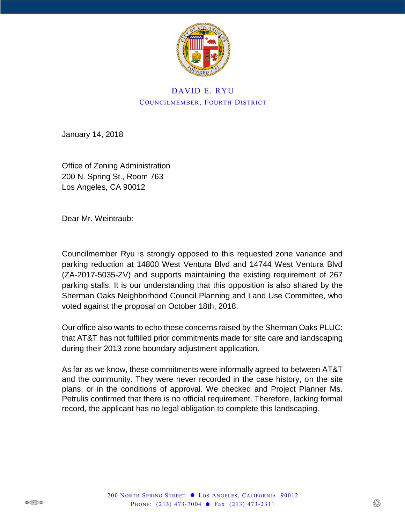

# DAVID E. RYU COUNCILMEMBER, FOURTH DISTRICT

January 14, 2018

Office of Zoning Administration 200 N. Spring St., Room 763 Los Angeles, CA 90012

Dear Mr. Weintraub:

Councilmember Ryu is strongly opposed to this requested zone variance and parking reduction at 14800 West Ventura Blvd and 14744 West Ventura Blvd (ZA-2017-5035-ZV) and supports maintaining the existing requirement of 267 parking stalls. It is our understanding that this opposition is also shared by the Sherman Oaks Neighborhood Council Planning and Land Use Committee, who voted against the proposal on October 18th, 2018.

Our office also wants to echo these concerns raised by the Sherman Oaks PLUC: that AT&T has not fulfilled prior commitments made for site care and landscaping during their 2013 zone boundary adjustment application.

As far as we know, these commitments were informally agreed to between AT&T and the community. They were never recorded in the case history, on the site plans, or in the conditions of approval. We checked and Project Planner Ms. Petrulis confirmed that there is no official requirement. Therefore, lacking formal record, the applicant has no legal obligation to complete this landscaping.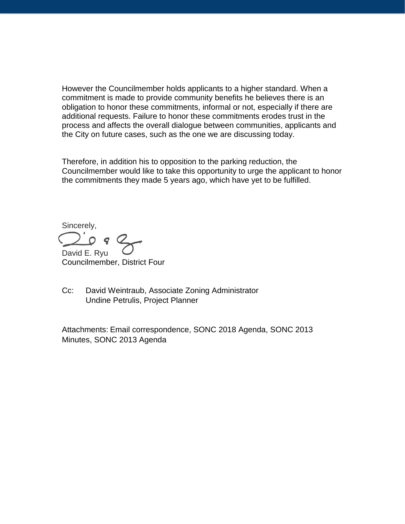However the Councilmember holds applicants to a higher standard. When a commitment is made to provide community benefits he believes there is an obligation to honor these commitments, informal or not, especially if there are additional requests. Failure to honor these commitments erodes trust in the process and affects the overall dialogue between communities, applicants and the City on future cases, such as the one we are discussing today.

Therefore, in addition his to opposition to the parking reduction, the Councilmember would like to take this opportunity to urge the applicant to honor the commitments they made 5 years ago, which have yet to be fulfilled.

Sincerely, David E. Ryu

Councilmember, District Four

Cc: David Weintraub, Associate Zoning Administrator Undine Petrulis, Project Planner

Attachments: Email correspondence, SONC 2018 Agenda, SONC 2013 Minutes, SONC 2013 Agenda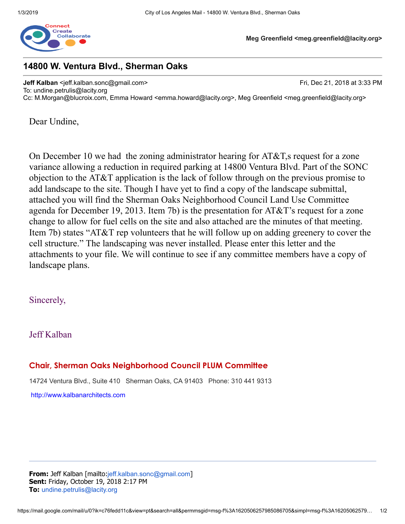

**Meg Greenfield <meg.greenfield@lacity.org>**

## **14800 W. Ventura Blvd., Sherman Oaks**

**Jeff Kalban** <jeff.kalban.sonc@gmail.com> **Fri, Dec 21, 2018 at 3:33 PM** To: undine.petrulis@lacity.org Cc: M.Morgan@blucroix.com, Emma Howard <emma.howard@lacity.org>, Meg Greenfield <meg.greenfield@lacity.org>

Dear Undine,

On December 10 we had the zoning administrator hearing for  $AT&T$ , are equest for a zone variance allowing a reduction in required parking at 14800 Ventura Blvd. Part of the SONC objection to the AT&T application is the lack of follow through on the previous promise to add landscape to the site. Though I have yet to find a copy of the landscape submittal, attached you will find the Sherman Oaks Neighborhood Council Land Use Committee agenda for December 19, 2013. Item 7b) is the presentation for AT&T's request for a zone change to allow for fuel cells on the site and also attached are the minutes of that meeting. Item 7b) states "AT&T rep volunteers that he will follow up on adding greenery to cover the cell structure." The landscaping was never installed. Please enter this letter and the attachments to your file. We will continue to see if any committee members have a copy of landscape plans.

## Sincerely,

## Jeff Kalban

## **Chair, Sherman Oaks Neighborhood Council PLUM Committee**

14724 Ventura Blvd., Suite 410 Sherman Oaks, CA 91403 Phone: 310 441 9313

http://www.kalbanarchitects.com

**From:** Jeff Kalban [mailto:jeff.kalban.sonc@gmail.com] **Sent:** Friday, October 19, 2018 2:17 PM **To:** undine.petrulis@lacity.org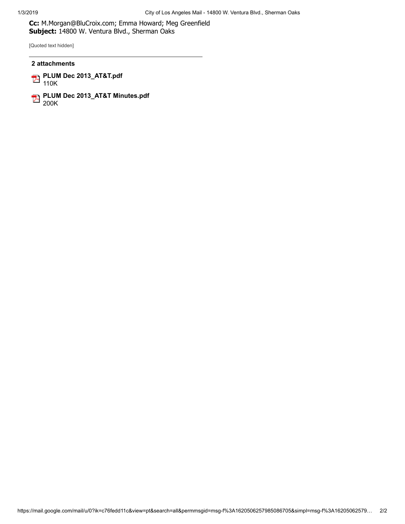**Cc:** M.Morgan@BluCroix.com; Emma Howard; Meg Greenfield **Subject:** 14800 W. Ventura Blvd., Sherman Oaks

[Quoted text hidden]

#### **2 attachments**

**PLUM Dec 2013\_AT&T.pdf** 110K

**PLUM Dec 2013\_AT&T Minutes.pdf** 200K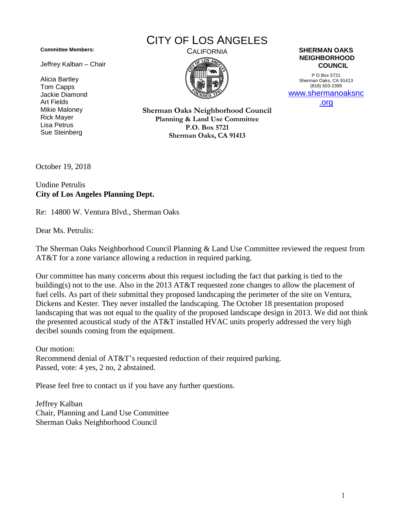**Committee Members:**

Jeffrey Kalban – Chair

Alicia Bartley Tom Capps Jackie Diamond Art Fields Mikie Maloney Rick Mayer Lisa Petrus Sue Steinberg

# CITY OF LOS ANGELES



#### CALIFORNIA **SHERMAN OAKS NEIGHBORHOOD COUNCIL**

P O Box 5721 Sherman Oaks, CA 91413 (818) 503-2399 www.shermanoaksnc

.org

**Sherman Oaks Neighborhood Council Planning & Land Use Committee P.O. Box 5721 Sherman Oaks, CA 91413**

October 19, 2018

Undine Petrulis **City of Los Angeles Planning Dept.**

Re: 14800 W. Ventura Blvd., Sherman Oaks

Dear Ms. Petrulis:

The Sherman Oaks Neighborhood Council Planning & Land Use Committee reviewed the request from AT&T for a zone variance allowing a reduction in required parking.

Our committee has many concerns about this request including the fact that parking is tied to the building(s) not to the use. Also in the 2013 AT&T requested zone changes to allow the placement of fuel cells. As part of their submittal they proposed landscaping the perimeter of the site on Ventura, Dickens and Kester. They never installed the landscaping. The October 18 presentation proposed landscaping that was not equal to the quality of the proposed landscape design in 2013. We did not think the presented acoustical study of the AT&T installed HVAC units properly addressed the very high decibel sounds coming from the equipment.

Our motion: Recommend denial of AT&T's requested reduction of their required parking. Passed, vote: 4 yes, 2 no, 2 abstained.

Please feel free to contact us if you have any further questions.

Jeffrey Kalban Chair, Planning and Land Use Committee Sherman Oaks Neighborhood Council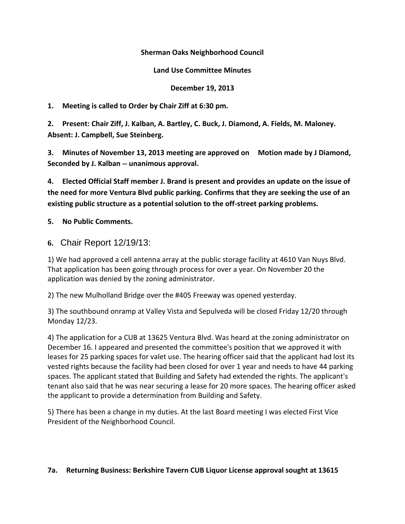### **Sherman Oaks Neighborhood Council**

### **Land Use Committee Minutes**

### **December 19, 2013**

**1. Meeting is called to Order by Chair Ziff at 6:30 pm.**

**2. Present: Chair Ziff, J. Kalban, A. Bartley, C. Buck, J. Diamond, A. Fields, M. Maloney. Absent: J. Campbell, Sue Steinberg.**

**3. Minutes of November 13, 2013 meeting are approved on Motion made by J Diamond, Seconded by J. Kalban -- unanimous approval.**

**4. Elected Official Staff member J. Brand is present and provides an update on the issue of the need for more Ventura Blvd public parking. Confirms that they are seeking the use of an existing public structure as a potential solution to the off-street parking problems.**

## **5. No Public Comments.**

**6.** Chair Report 12/19/13:

1) We had approved a cell antenna array at the public storage facility at 4610 Van Nuys Blvd. That application has been going through process for over a year. On November 20 the application was denied by the zoning administrator.

2) The new Mulholland Bridge over the #405 Freeway was opened yesterday.

3) The southbound onramp at Valley Vista and Sepulveda will be closed Friday 12/20 through Monday 12/23.

4) The application for a CUB at 13625 Ventura Blvd. Was heard at the zoning administrator on December 16. I appeared and presented the committee's position that we approved it with leases for 25 parking spaces for valet use. The hearing officer said that the applicant had lost its vested rights because the facility had been closed for over 1 year and needs to have 44 parking spaces. The applicant stated that Building and Safety had extended the rights. The applicant's tenant also said that he was near securing a lease for 20 more spaces. The hearing officer asked the applicant to provide a determination from Building and Safety.

5) There has been a change in my duties. At the last Board meeting I was elected First Vice President of the Neighborhood Council.

#### **7a. Returning Business: Berkshire Tavern CUB Liquor License approval sought at 13615**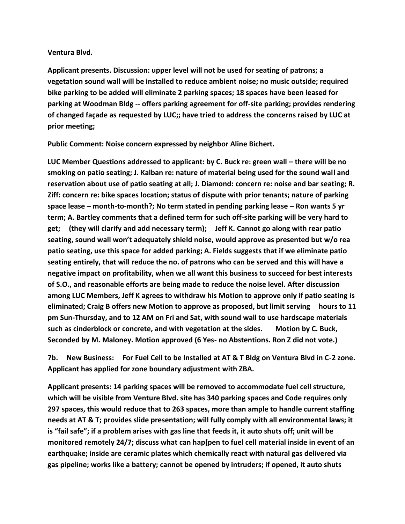#### **Ventura Blvd.**

**Applicant presents. Discussion: upper level will not be used for seating of patrons; a vegetation sound wall will be installed to reduce ambient noise; no music outside; required bike parking to be added will eliminate 2 parking spaces; 18 spaces have been leased for parking at Woodman Bldg -- offers parking agreement for off-site parking; provides rendering of changed façade as requested by LUC;; have tried to address the concerns raised by LUC at prior meeting;** 

**Public Comment: Noise concern expressed by neighbor Aline Bichert.** 

**LUC Member Questions addressed to applicant: by C. Buck re: green wall – there will be no smoking on patio seating; J. Kalban re: nature of material being used for the sound wall and reservation about use of patio seating at all; J. Diamond: concern re: noise and bar seating; R. Ziff: concern re: bike spaces location; status of dispute with prior tenants; nature of parking space lease – month-to-month?; No term stated in pending parking lease – Ron wants 5 yr term; A. Bartley comments that a defined term for such off-site parking will be very hard to get; (they will clarify and add necessary term); Jeff K. Cannot go along with rear patio seating, sound wall won't adequately shield noise, would approve as presented but w/o rea patio seating, use this space for added parking; A. Fields suggests that if we eliminate patio seating entirely, that will reduce the no. of patrons who can be served and this will have a negative impact on profitability, when we all want this business to succeed for best interests of S.O., and reasonable efforts are being made to reduce the noise level. After discussion among LUC Members, Jeff K agrees to withdraw his Motion to approve only if patio seating is eliminated; Craig B offers new Motion to approve as proposed, but limit serving hours to 11 pm Sun-Thursday, and to 12 AM on Fri and Sat, with sound wall to use hardscape materials such as cinderblock or concrete, and with vegetation at the sides. Motion by C. Buck, Seconded by M. Maloney. Motion approved (6 Yes- no Abstentions. Ron Z did not vote.)**

**7b. New Business: For Fuel Cell to be Installed at AT & T Bldg on Ventura Blvd in C-2 zone. Applicant has applied for zone boundary adjustment with ZBA.**

**Applicant presents: 14 parking spaces will be removed to accommodate fuel cell structure, which will be visible from Venture Blvd. site has 340 parking spaces and Code requires only 297 spaces, this would reduce that to 263 spaces, more than ample to handle current staffing needs at AT & T; provides slide presentation; will fully comply with all environmental laws; it is "fail safe"; if a problem arises with gas line that feeds it, it auto shuts off; unit will be monitored remotely 24/7; discuss what can hap[pen to fuel cell material inside in event of an earthquake; inside are ceramic plates which chemically react with natural gas delivered via gas pipeline; works like a battery; cannot be opened by intruders; if opened, it auto shuts**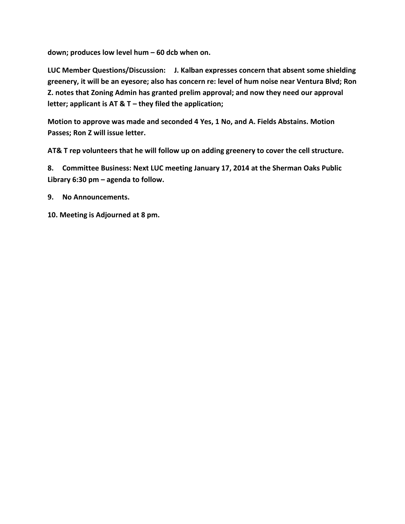**down; produces low level hum – 60 dcb when on.**

**LUC Member Questions/Discussion: J. Kalban expresses concern that absent some shielding greenery, it will be an eyesore; also has concern re: level of hum noise near Ventura Blvd; Ron Z. notes that Zoning Admin has granted prelim approval; and now they need our approval letter; applicant is AT & T – they filed the application;** 

**Motion to approve was made and seconded 4 Yes, 1 No, and A. Fields Abstains. Motion Passes; Ron Z will issue letter.** 

**AT& T rep volunteers that he will follow up on adding greenery to cover the cell structure.**

**8. Committee Business: Next LUC meeting January 17, 2014 at the Sherman Oaks Public Library 6:30 pm – agenda to follow.**

**9. No Announcements.** 

**10. Meeting is Adjourned at 8 pm.**